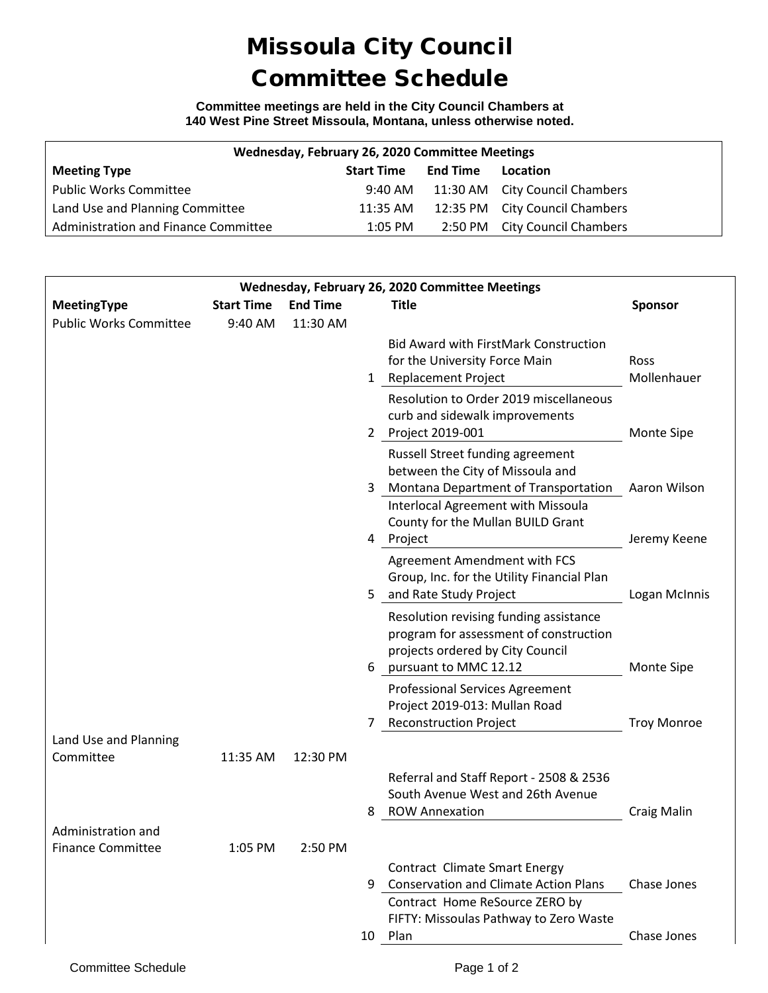## Missoula City Council Committee Schedule

**Committee meetings are held in the City Council Chambers at 140 West Pine Street Missoula, Montana, unless otherwise noted.**

| Wednesday, February 26, 2020 Committee Meetings |                   |          |                                |  |  |  |  |  |
|-------------------------------------------------|-------------------|----------|--------------------------------|--|--|--|--|--|
| <b>Meeting Type</b>                             | <b>Start Time</b> | End Time | Location                       |  |  |  |  |  |
| <b>Public Works Committee</b>                   | 9:40 AM           |          | 11:30 AM City Council Chambers |  |  |  |  |  |
| Land Use and Planning Committee                 | 11:35 AM          |          | 12:35 PM City Council Chambers |  |  |  |  |  |
| Administration and Finance Committee            | $1:05$ PM         |          | 2:50 PM City Council Chambers  |  |  |  |  |  |

| Wednesday, February 26, 2020 Committee Meetings |                   |                 |                                                                                                                                                         |                            |  |  |  |
|-------------------------------------------------|-------------------|-----------------|---------------------------------------------------------------------------------------------------------------------------------------------------------|----------------------------|--|--|--|
| <b>MeetingType</b>                              | <b>Start Time</b> | <b>End Time</b> | <b>Title</b>                                                                                                                                            | <b>Sponsor</b>             |  |  |  |
| <b>Public Works Committee</b>                   | 9:40 AM           | 11:30 AM        | <b>Bid Award with FirstMark Construction</b><br>for the University Force Main<br>1 Replacement Project                                                  | <b>Ross</b><br>Mollenhauer |  |  |  |
|                                                 |                   |                 | Resolution to Order 2019 miscellaneous<br>curb and sidewalk improvements<br>2 Project 2019-001                                                          | Monte Sipe                 |  |  |  |
|                                                 |                   |                 | Russell Street funding agreement<br>between the City of Missoula and<br>Montana Department of Transportation<br>3<br>Interlocal Agreement with Missoula | Aaron Wilson               |  |  |  |
|                                                 |                   |                 | County for the Mullan BUILD Grant<br>4 Project                                                                                                          | Jeremy Keene               |  |  |  |
|                                                 |                   |                 | Agreement Amendment with FCS<br>Group, Inc. for the Utility Financial Plan<br>and Rate Study Project<br>5.                                              | Logan McInnis              |  |  |  |
|                                                 |                   |                 | Resolution revising funding assistance<br>program for assessment of construction<br>projects ordered by City Council<br>6 pursuant to MMC 12.12         | Monte Sipe                 |  |  |  |
|                                                 |                   |                 | <b>Professional Services Agreement</b><br>Project 2019-013: Mullan Road<br><b>Reconstruction Project</b>                                                | <b>Troy Monroe</b>         |  |  |  |
| Land Use and Planning                           |                   |                 |                                                                                                                                                         |                            |  |  |  |
| Committee                                       | 11:35 AM          | 12:30 PM        | Referral and Staff Report - 2508 & 2536<br>South Avenue West and 26th Avenue<br><b>ROW Annexation</b><br>8                                              | <b>Craig Malin</b>         |  |  |  |
| Administration and                              |                   |                 |                                                                                                                                                         |                            |  |  |  |
| <b>Finance Committee</b>                        | 1:05 PM           | 2:50 PM         | <b>Contract Climate Smart Energy</b>                                                                                                                    |                            |  |  |  |
|                                                 |                   |                 | <b>Conservation and Climate Action Plans</b><br>9<br>Contract Home ReSource ZERO by<br>FIFTY: Missoulas Pathway to Zero Waste                           | Chase Jones                |  |  |  |
|                                                 |                   |                 | 10 Plan                                                                                                                                                 | Chase Jones                |  |  |  |